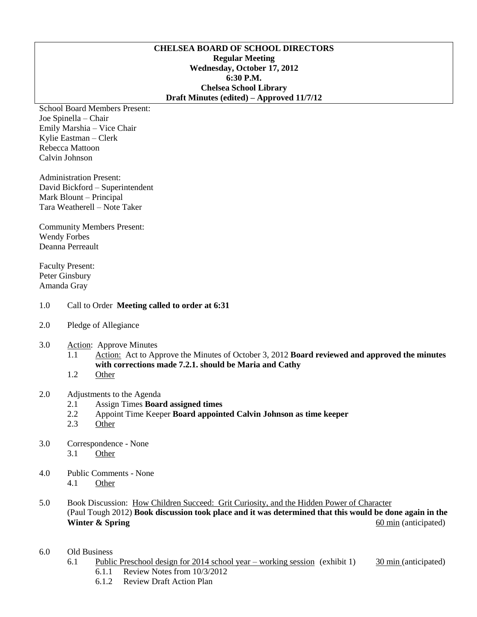### **CHELSEA BOARD OF SCHOOL DIRECTORS Regular Meeting Wednesday, October 17, 2012 6:30 P.M. Chelsea School Library Draft Minutes (edited) – Approved 11/7/12**

School Board Members Present: Joe Spinella – Chair Emily Marshia – Vice Chair Kylie Eastman – Clerk Rebecca Mattoon Calvin Johnson

Administration Present: David Bickford – Superintendent Mark Blount – Principal Tara Weatherell – Note Taker

Community Members Present: Wendy Forbes Deanna Perreault

Faculty Present: Peter Ginsbury Amanda Gray

### 1.0 Call to Order **Meeting called to order at 6:31**

- 2.0 Pledge of Allegiance
- 3.0 Action: Approve Minutes
	- 1.1 Action: Act to Approve the Minutes of October 3, 2012 **Board reviewed and approved the minutes with corrections made 7.2.1. should be Maria and Cathy**
	- 1.2 Other

#### 2.0 Adjustments to the Agenda

- 2.1 Assign Times **Board assigned times**
- 2.2 Appoint Time Keeper **Board appointed Calvin Johnson as time keeper**
- 2.3 Other
- 3.0 Correspondence None
	- 3.1 Other
- 4.0 Public Comments None 4.1 Other
- 5.0 Book Discussion: How Children Succeed: Grit Curiosity, and the Hidden Power of Character (Paul Tough 2012) **Book discussion took place and it was determined that this would be done again in the Winter & Spring** 60 min (anticipated)
- 6.0 Old Business
	- 6.1 Public Preschool design for 2014 school year working session (exhibit 1) 30 min (anticipated) 6.1.1 Review Notes from 10/3/2012
		- 6.1.2 Review Draft Action Plan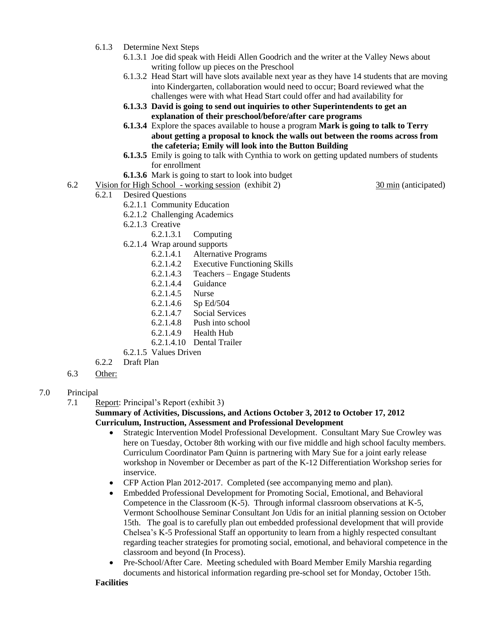- 6.1.3 Determine Next Steps
	- 6.1.3.1 Joe did speak with Heidi Allen Goodrich and the writer at the Valley News about writing follow up pieces on the Preschool
	- 6.1.3.2 Head Start will have slots available next year as they have 14 students that are moving into Kindergarten, collaboration would need to occur; Board reviewed what the challenges were with what Head Start could offer and had availability for
	- **6.1.3.3 David is going to send out inquiries to other Superintendents to get an explanation of their preschool/before/after care programs**
	- **6.1.3.4** Explore the spaces available to house a program **Mark is going to talk to Terry about getting a proposal to knock the walls out between the rooms across from the cafeteria; Emily will look into the Button Building**
	- **6.1.3.5** Emily is going to talk with Cynthia to work on getting updated numbers of students for enrollment
	- **6.1.3.6** Mark is going to start to look into budget
- 6.2 Vision for High School working session (exhibit 2) 30 min (anticipated)
	- 6.2.1 Desired Questions
		- 6.2.1.1 Community Education
		- 6.2.1.2 Challenging Academics
		- 6.2.1.3 Creative
			- 6.2.1.3.1 Computing
		- 6.2.1.4 Wrap around supports
			- 6.2.1.4.1 Alternative Programs
			- 6.2.1.4.2 Executive Functioning Skills
			- 6.2.1.4.3 Teachers Engage Students
			- 6.2.1.4.4 Guidance
			- 6.2.1.4.5 Nurse
			- 6.2.1.4.6 Sp Ed/504
			- 6.2.1.4.7 Social Services
			- 6.2.1.4.8 Push into school
			- 6.2.1.4.9 Health Hub
			- 6.2.1.4.10 Dental Trailer
		- 6.2.1.5 Values Driven
	- 6.2.2 Draft Plan
- 6.3 Other:

### 7.0 Principal

7.1 Report: Principal's Report (exhibit 3)

## **Summary of Activities, Discussions, and Actions October 3, 2012 to October 17, 2012 Curriculum, Instruction, Assessment and Professional Development**

- Strategic Intervention Model Professional Development. Consultant Mary Sue Crowley was here on Tuesday, October 8th working with our five middle and high school faculty members. Curriculum Coordinator Pam Quinn is partnering with Mary Sue for a joint early release workshop in November or December as part of the K-12 Differentiation Workshop series for inservice.
- CFP Action Plan 2012-2017. Completed (see accompanying memo and plan).
- Embedded Professional Development for Promoting Social, Emotional, and Behavioral Competence in the Classroom (K-5). Through informal classroom observations at K-5, Vermont Schoolhouse Seminar Consultant Jon Udis for an initial planning session on October 15th. The goal is to carefully plan out embedded professional development that will provide Chelsea's K-5 Professional Staff an opportunity to learn from a highly respected consultant regarding teacher strategies for promoting social, emotional, and behavioral competence in the classroom and beyond (In Process).
- Pre-School/After Care. Meeting scheduled with Board Member Emily Marshia regarding documents and historical information regarding pre-school set for Monday, October 15th.

### **Facilities**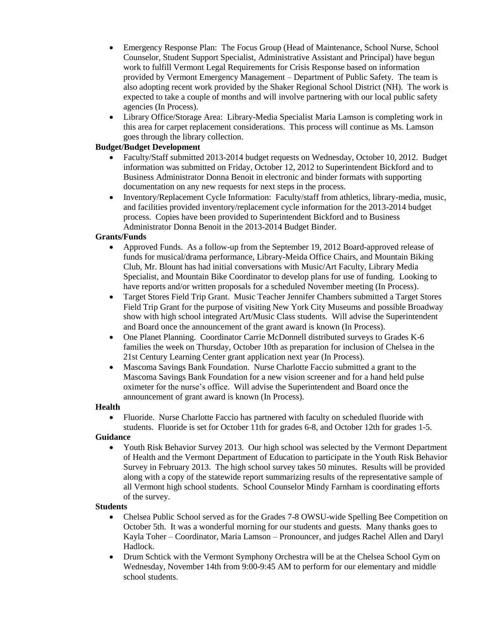- Emergency Response Plan: The Focus Group (Head of Maintenance, School Nurse, School Counselor, Student Support Specialist, Administrative Assistant and Principal) have begun work to fulfill Vermont Legal Requirements for Crisis Response based on information provided by Vermont Emergency Management – Department of Public Safety. The team is also adopting recent work provided by the Shaker Regional School District (NH). The work is expected to take a couple of months and will involve partnering with our local public safety agencies (In Process).
- Library Office/Storage Area: Library-Media Specialist Maria Lamson is completing work in this area for carpet replacement considerations. This process will continue as Ms. Lamson goes through the library collection.

## **Budget/Budget Development**

- Faculty/Staff submitted 2013-2014 budget requests on Wednesday, October 10, 2012. Budget information was submitted on Friday, October 12, 2012 to Superintendent Bickford and to Business Administrator Donna Benoit in electronic and binder formats with supporting documentation on any new requests for next steps in the process.
- Inventory/Replacement Cycle Information: Faculty/staff from athletics, library-media, music, and facilities provided inventory/replacement cycle information for the 2013-2014 budget process. Copies have been provided to Superintendent Bickford and to Business Administrator Donna Benoit in the 2013-2014 Budget Binder.

## **Grants/Funds**

- Approved Funds. As a follow-up from the September 19, 2012 Board-approved release of funds for musical/drama performance, Library-Meida Office Chairs, and Mountain Biking Club, Mr. Blount has had initial conversations with Music/Art Faculty, Library Media Specialist, and Mountain Bike Coordinator to develop plans for use of funding. Looking to have reports and/or written proposals for a scheduled November meeting (In Process).
- Target Stores Field Trip Grant. Music Teacher Jennifer Chambers submitted a Target Stores Field Trip Grant for the purpose of visiting New York City Museums and possible Broadway show with high school integrated Art/Music Class students. Will advise the Superintendent and Board once the announcement of the grant award is known (In Process).
- One Planet Planning. Coordinator Carrie McDonnell distributed surveys to Grades K-6 families the week on Thursday, October 10th as preparation for inclusion of Chelsea in the 21st Century Learning Center grant application next year (In Process).
- Mascoma Savings Bank Foundation. Nurse Charlotte Faccio submitted a grant to the Mascoma Savings Bank Foundation for a new vision screener and for a hand held pulse oximeter for the nurse's office. Will advise the Superintendent and Board once the announcement of grant award is known (In Process).

### **Health**

 Fluoride. Nurse Charlotte Faccio has partnered with faculty on scheduled fluoride with students. Fluoride is set for October 11th for grades 6-8, and October 12th for grades 1-5.

### **Guidance**

 Youth Risk Behavior Survey 2013. Our high school was selected by the Vermont Department of Health and the Vermont Department of Education to participate in the Youth Risk Behavior Survey in February 2013. The high school survey takes 50 minutes. Results will be provided along with a copy of the statewide report summarizing results of the representative sample of all Vermont high school students. School Counselor Mindy Farnham is coordinating efforts of the survey.

### **Students**

- Chelsea Public School served as for the Grades 7-8 OWSU-wide Spelling Bee Competition on October 5th. It was a wonderful morning for our students and guests. Many thanks goes to Kayla Toher – Coordinator, Maria Lamson – Pronouncer, and judges Rachel Allen and Daryl Hadlock.
- Drum Schtick with the Vermont Symphony Orchestra will be at the Chelsea School Gym on Wednesday, November 14th from 9:00-9:45 AM to perform for our elementary and middle school students.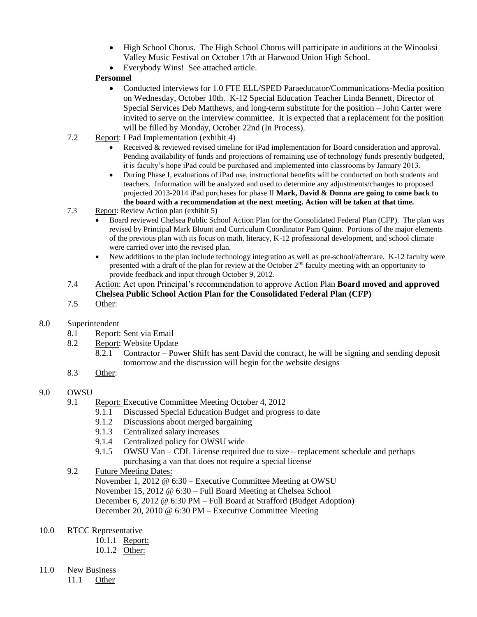- High School Chorus. The High School Chorus will participate in auditions at the Winooksi Valley Music Festival on October 17th at Harwood Union High School.
- Everybody Wins! See attached article.

# **Personnel**

- Conducted interviews for 1.0 FTE ELL/SPED Paraeducator/Communications-Media position on Wednesday, October 10th. K-12 Special Education Teacher Linda Bennett, Director of Special Services Deb Matthews, and long-term substitute for the position – John Carter were invited to serve on the interview committee. It is expected that a replacement for the position will be filled by Monday, October 22nd (In Process).
- 7.2 Report: I Pad Implementation (exhibit 4)
	- Received & reviewed revised timeline for iPad implementation for Board consideration and approval. Pending availability of funds and projections of remaining use of technology funds presently budgeted, it is faculty's hope iPad could be purchased and implemented into classrooms by January 2013.
	- During Phase I, evaluations of iPad use, instructional benefits will be conducted on both students and teachers. Information will be analyzed and used to determine any adjustments/changes to proposed projected 2013-2014 iPad purchases for phase II **Mark, David & Donna are going to come back to the board with a recommendation at the next meeting. Action will be taken at that time.**
- 7.3 Report: Review Action plan (exhibit 5)
	- Board reviewed Chelsea Public School Action Plan for the Consolidated Federal Plan (CFP). The plan was revised by Principal Mark Blount and Curriculum Coordinator Pam Quinn. Portions of the major elements of the previous plan with its focus on math, literacy, K-12 professional development, and school climate were carried over into the revised plan.
	- New additions to the plan include technology integration as well as pre-school/aftercare. K-12 faculty were presented with a draft of the plan for review at the October 2<sup>nd</sup> faculty meeting with an opportunity to provide feedback and input through October 9, 2012.
- 7.4 Action: Act upon Principal's recommendation to approve Action Plan **Board moved and approved Chelsea Public School Action Plan for the Consolidated Federal Plan (CFP)**
- 7.5 Other:

### 8.0 Superintendent

- 8.1 Report: Sent via Email
- 8.2 Report: Website Update
	- 8.2.1 Contractor Power Shift has sent David the contract, he will be signing and sending deposit tomorrow and the discussion will begin for the website designs
- 8.3 Other:

### 9.0 OWSU

- 9.1 Report: Executive Committee Meeting October 4, 2012
	- 9.1.1 Discussed Special Education Budget and progress to date
	- 9.1.2 Discussions about merged bargaining
	- 9.1.3 Centralized salary increases
	- 9.1.4 Centralized policy for OWSU wide
	- 9.1.5 OWSU Van CDL License required due to size replacement schedule and perhaps purchasing a van that does not require a special license
- 9.2 Future Meeting Dates: November 1, 2012 @ 6:30 – Executive Committee Meeting at OWSU November 15, 2012 @ 6:30 – Full Board Meeting at Chelsea School December 6, 2012 @ 6:30 PM – Full Board at Strafford (Budget Adoption) December 20, 2010 @ 6:30 PM – Executive Committee Meeting
- 10.0 RTCC Representative
	- 10.1.1 Report:
	- 10.1.2 Other:

### 11.0 New Business

11.1 Other